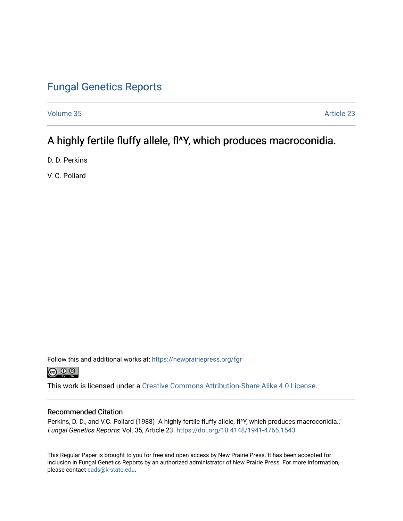## [Fungal Genetics Reports](https://newprairiepress.org/fgr)

[Volume 35](https://newprairiepress.org/fgr/vol35) Article 23

# A highly fertile fluffy allele, fl^Y, which produces macroconidia.

D. D. Perkins

V. C. Pollard

Follow this and additional works at: [https://newprairiepress.org/fgr](https://newprairiepress.org/fgr?utm_source=newprairiepress.org%2Ffgr%2Fvol35%2Fiss1%2F23&utm_medium=PDF&utm_campaign=PDFCoverPages) 



This work is licensed under a [Creative Commons Attribution-Share Alike 4.0 License.](https://creativecommons.org/licenses/by-sa/4.0/)

#### Recommended Citation

Perkins, D. D., and V.C. Pollard (1988) "A highly fertile fluffy allele, fl^Y, which produces macroconidia.," Fungal Genetics Reports: Vol. 35, Article 23.<https://doi.org/10.4148/1941-4765.1543>

This Regular Paper is brought to you for free and open access by New Prairie Press. It has been accepted for inclusion in Fungal Genetics Reports by an authorized administrator of New Prairie Press. For more information, please contact [cads@k-state.edu.](mailto:cads@k-state.edu)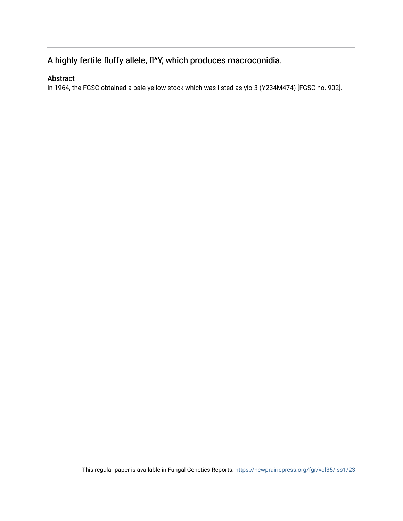## A highly fertile fluffy allele, fl^Y, which produces macroconidia.

### Abstract

In 1964, the FGSC obtained a pale-yellow stock which was listed as ylo-3 (Y234M474) [FGSC no. 902].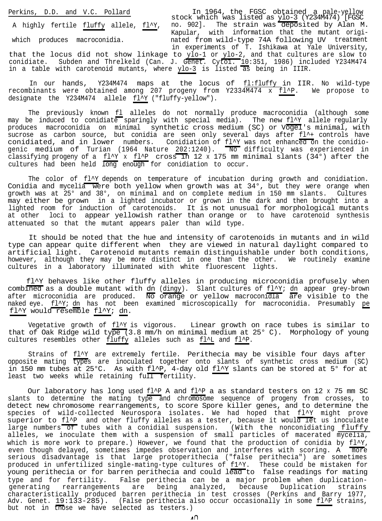Perkins, D.D. and V.C. Pollard In 1964, the FGSC obtained a stock which waslisted as ylo-3 (Y234M474) [FGSC pale-yellow A highly fertile <u>fluffy</u> allele, <u>fl^Y</u>, no. 902]. The strain was deposited by Alan M. Kapular, with information that the mutant origiwhich produces macroconidia. https://which produces macroconidia. nated from wild-type 74A following UV treatment in experiments of T. Ishikawa at Yale University, that the locus did not show linkage to ylo-1 or ylo-2, and that cultures are slow to conidiate. Subden and Threlkeld (Can. J. G<del>enet.</del> Cytol. <u>10</u>:351, 1986) included Y234M474 in a table with carotenoid mutants, where ylo-3 is listed as being in IIIR.

In our hands, Y234M474 maps at the locus of  $f_1:fluffy$  in IIR. No wild-type recombinants were obtained among 207 progeny from Y2334M474 x fl^P. We propose to designate the Y234M474 allele fl^Y ("fluffy-yellow").

The previously known fl alleles do not normally produce macroconidia (although some may be induced to conidiate sparingly with special media). The new  $f_1^y$  allele regularly produces macroconidia on minimal synthetic cross medium (SC) or Vogel's minimal, with sucrose as carbon source, but conidia are seen only several days after fl^+ controls have conidiated, and in lower numbers. Conidiation of  $f_1'Y$  was not enhanced on the conidiogenic medium of Turian (1964 Nature <u>202</u>:1240).  $\overline{~}$  No difficulty was experienced in classifying progeny of a  $f_1'$  x  $f_1'$  cross in 12 x 175 mm minimal slants (34°) after the cultures had been held long enough for conidiation to occur.

The color of fl^Y depends on temperature of incubation during growth and conidiation. Conidia and mycelia were both yellow when growth was at 34°, but they were orange when growth was at 25° and 38°, on minimal and on complete medium in 150 mm slants. Cultures may either be grown in a lighted incubator or grown in the dark and then brought into a lighted room for induction of carotenoids. It is not unusual for morphological mutants at other loci to appear yellowish rather than orange or to have carotenoid synthesis attenuated so that the mutant appears paler than wild type.

It should be noted that the hue and intensity of carotenoids in mutants and in wild type can appear quite different when they are viewed in natural daylight compared to artificial light. Carotenoid mutants remain distinguishable under both conditions, however, although they may be more distinct in one than the other. We routinely examine cultures in a laboratory illuminated with white fluorescent lights.

fl^Y behaves like other fluffy alleles in producing microconidia profusely when combined as a double mutant with dn (dingy). after microconidia are produced. Slant cultures of fl^Y; dn appear grey-brown No orange or yellow macroconidla are visible to the naked eye. fl^Y; dn has not been examined microscopically for macroconidia. Presumably pe fl^Y would resemble fl^Y; dn.

Vegetative growth of fl^Y is vigorous. Linear growth on race tubes is similar to that of Oak Ridge wild type (3.8 mm/h on minimal medium at 25° C). Morphology of young cultures resembles other fluffy alleles such as fl^L and fl^P.

Strains of  $f\!1^{\prime}Y$  are extremely fertile. Perithecia may be visible four days after opposite mating types are inoculated together onto slants of synthetic cross medium (SC) in 150 mm tubes at 25°C. As with  $f1^{\wedge}P$ , 4-day old  $f1^{\wedge}Y$  slants can be stored at 5° for at least two weeks while retaining full fertility.

Our laboratory has long used fl^P A and fl^P a as standard testers on 12 x 75 mm SC slants to determine the mating type and chromosome sequence of progeny from crosses, to detect new chromosome rearrangements, to score Spore killer genes, and to determine the species of wild-collected Neurospora isolates. We had hoped that fl^Y might prove superior to fl^P and other fluffy alleles as a tester, because it would let us inoculate large numbers of tubes with a conidial suspension. (With the nonconidiating fluffy alleles, we inoculate them with a suspension of small particles of macerated mycelia, which is more work to prepare.) However, we found that the production of conidia by  $f1^{\prime}Y$ , even though delayed, sometimes impedes observation and interferes with scoring. A more serious disadvantage is that large protoperithecia ("false perithecia") are sometimes produced in unfertilized single-mating-type cultures of f1^Y. These could be mistaken for young perithecia or for barren perithecia and could lead to false readings for mating type and for fertility. False perithecia can be a major problem when duplicationgenerating rearrangements are being analyzed, because Duplication strains characteristically produced barren perithecia in test crosses (Perkins and Barry 1977, Adv. Genet. 19:133-285). (False perithecia also occur occasionally in some fl^P strains, but not in those we have selected as testers.)